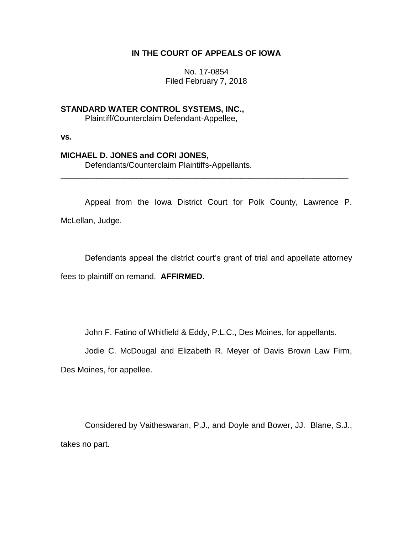# **IN THE COURT OF APPEALS OF IOWA**

No. 17-0854 Filed February 7, 2018

**STANDARD WATER CONTROL SYSTEMS, INC.,** Plaintiff/Counterclaim Defendant-Appellee,

**vs.**

## **MICHAEL D. JONES and CORI JONES,**

Defendants/Counterclaim Plaintiffs-Appellants.

Appeal from the Iowa District Court for Polk County, Lawrence P. McLellan, Judge.

\_\_\_\_\_\_\_\_\_\_\_\_\_\_\_\_\_\_\_\_\_\_\_\_\_\_\_\_\_\_\_\_\_\_\_\_\_\_\_\_\_\_\_\_\_\_\_\_\_\_\_\_\_\_\_\_\_\_\_\_\_\_\_\_

Defendants appeal the district court's grant of trial and appellate attorney fees to plaintiff on remand. **AFFIRMED.**

John F. Fatino of Whitfield & Eddy, P.L.C., Des Moines, for appellants.

Jodie C. McDougal and Elizabeth R. Meyer of Davis Brown Law Firm,

Des Moines, for appellee.

Considered by Vaitheswaran, P.J., and Doyle and Bower, JJ. Blane, S.J., takes no part.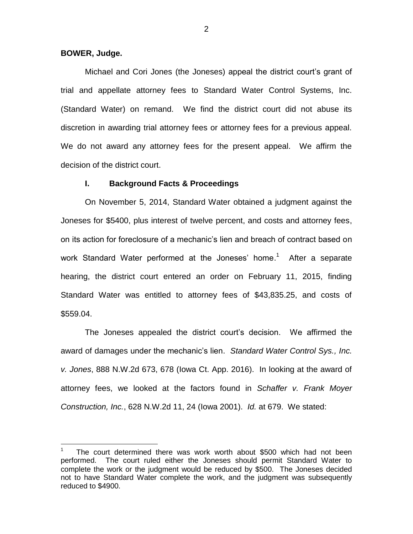### **BOWER, Judge.**

 $\overline{a}$ 

Michael and Cori Jones (the Joneses) appeal the district court's grant of trial and appellate attorney fees to Standard Water Control Systems, Inc. (Standard Water) on remand. We find the district court did not abuse its discretion in awarding trial attorney fees or attorney fees for a previous appeal. We do not award any attorney fees for the present appeal. We affirm the decision of the district court.

### **I. Background Facts & Proceedings**

On November 5, 2014, Standard Water obtained a judgment against the Joneses for \$5400, plus interest of twelve percent, and costs and attorney fees, on its action for foreclosure of a mechanic's lien and breach of contract based on work Standard Water performed at the Joneses' home.<sup>1</sup> After a separate hearing, the district court entered an order on February 11, 2015, finding Standard Water was entitled to attorney fees of \$43,835.25, and costs of \$559.04.

The Joneses appealed the district court's decision. We affirmed the award of damages under the mechanic's lien. *Standard Water Control Sys., Inc. v. Jones*, 888 N.W.2d 673, 678 (Iowa Ct. App. 2016). In looking at the award of attorney fees, we looked at the factors found in *Schaffer v. Frank Moyer Construction, Inc.*, 628 N.W.2d 11, 24 (Iowa 2001). *Id.* at 679. We stated:

<sup>1</sup> The court determined there was work worth about \$500 which had not been performed. The court ruled either the Joneses should permit Standard Water to complete the work or the judgment would be reduced by \$500. The Joneses decided not to have Standard Water complete the work, and the judgment was subsequently reduced to \$4900.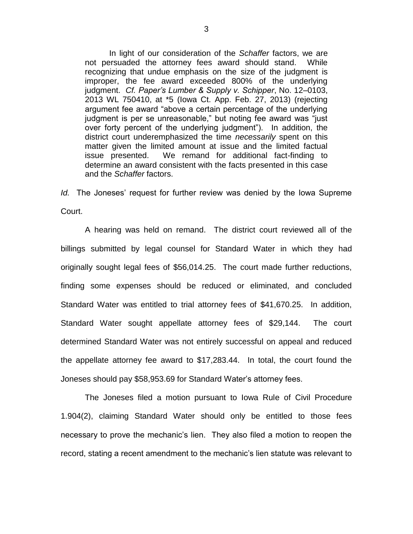In light of our consideration of the *Schaffer* factors, we are not persuaded the attorney fees award should stand. While recognizing that undue emphasis on the size of the judgment is improper, the fee award exceeded 800% of the underlying judgment. *Cf. Paper's Lumber & Supply v. Schipper*, No. 12–0103, 2013 WL 750410, at \*5 (Iowa Ct. App. Feb. 27, 2013) (rejecting argument fee award "above a certain percentage of the underlying judgment is per se unreasonable," but noting fee award was "just over forty percent of the underlying judgment"). In addition, the district court underemphasized the time *necessarily* spent on this matter given the limited amount at issue and the limited factual issue presented. We remand for additional fact-finding to determine an award consistent with the facts presented in this case and the *Schaffer* factors.

*Id.* The Joneses' request for further review was denied by the Iowa Supreme Court.

A hearing was held on remand. The district court reviewed all of the billings submitted by legal counsel for Standard Water in which they had originally sought legal fees of \$56,014.25. The court made further reductions, finding some expenses should be reduced or eliminated, and concluded Standard Water was entitled to trial attorney fees of \$41,670.25. In addition, Standard Water sought appellate attorney fees of \$29,144. The court determined Standard Water was not entirely successful on appeal and reduced the appellate attorney fee award to \$17,283.44. In total, the court found the Joneses should pay \$58,953.69 for Standard Water's attorney fees.

The Joneses filed a motion pursuant to Iowa Rule of Civil Procedure 1.904(2), claiming Standard Water should only be entitled to those fees necessary to prove the mechanic's lien. They also filed a motion to reopen the record, stating a recent amendment to the mechanic's lien statute was relevant to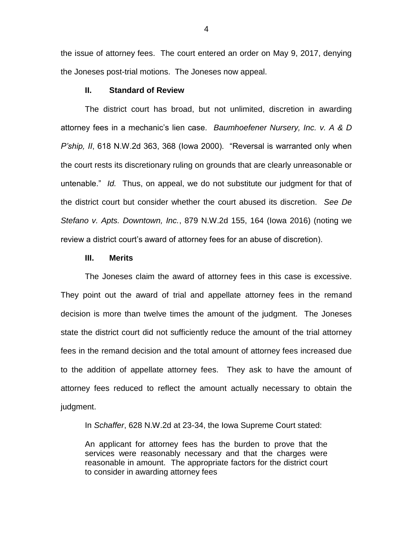the issue of attorney fees. The court entered an order on May 9, 2017, denying the Joneses post-trial motions. The Joneses now appeal.

## **II. Standard of Review**

The district court has broad, but not unlimited, discretion in awarding attorney fees in a mechanic's lien case. *Baumhoefener Nursery, Inc. v. A & D P'ship, II*, 618 N.W.2d 363, 368 (Iowa 2000). "Reversal is warranted only when the court rests its discretionary ruling on grounds that are clearly unreasonable or untenable." *Id.* Thus, on appeal, we do not substitute our judgment for that of the district court but consider whether the court abused its discretion. *See De Stefano v. Apts. Downtown, Inc.*, 879 N.W.2d 155, 164 (Iowa 2016) (noting we review a district court's award of attorney fees for an abuse of discretion).

#### **III. Merits**

The Joneses claim the award of attorney fees in this case is excessive. They point out the award of trial and appellate attorney fees in the remand decision is more than twelve times the amount of the judgment. The Joneses state the district court did not sufficiently reduce the amount of the trial attorney fees in the remand decision and the total amount of attorney fees increased due to the addition of appellate attorney fees. They ask to have the amount of attorney fees reduced to reflect the amount actually necessary to obtain the judgment.

In *Schaffer*, 628 N.W.2d at 23-34, the Iowa Supreme Court stated:

An applicant for attorney fees has the burden to prove that the services were reasonably necessary and that the charges were reasonable in amount. The appropriate factors for the district court to consider in awarding attorney fees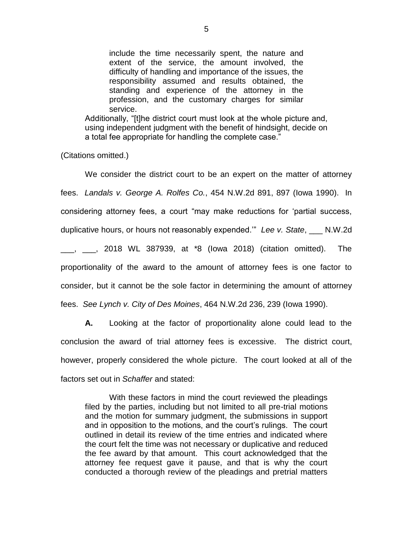include the time necessarily spent, the nature and extent of the service, the amount involved, the difficulty of handling and importance of the issues, the responsibility assumed and results obtained, the standing and experience of the attorney in the profession, and the customary charges for similar service.

Additionally, "[t]he district court must look at the whole picture and, using independent judgment with the benefit of hindsight, decide on a total fee appropriate for handling the complete case."

(Citations omitted.)

We consider the district court to be an expert on the matter of attorney fees. *Landals v. George A. Rolfes Co.*, 454 N.W.2d 891, 897 (Iowa 1990). In considering attorney fees, a court "may make reductions for 'partial success, duplicative hours, or hours not reasonably expended.'" *Lee v. State*, \_\_\_ N.W.2d \_\_\_, \_\_\_, 2018 WL 387939, at \*8 (Iowa 2018) (citation omitted). The proportionality of the award to the amount of attorney fees is one factor to consider, but it cannot be the sole factor in determining the amount of attorney fees. *See Lynch v. City of Des Moines*, 464 N.W.2d 236, 239 (Iowa 1990).

**A.** Looking at the factor of proportionality alone could lead to the conclusion the award of trial attorney fees is excessive. The district court, however, properly considered the whole picture. The court looked at all of the factors set out in *Schaffer* and stated:

With these factors in mind the court reviewed the pleadings filed by the parties, including but not limited to all pre-trial motions and the motion for summary judgment, the submissions in support and in opposition to the motions, and the court's rulings. The court outlined in detail its review of the time entries and indicated where the court felt the time was not necessary or duplicative and reduced the fee award by that amount. This court acknowledged that the attorney fee request gave it pause, and that is why the court conducted a thorough review of the pleadings and pretrial matters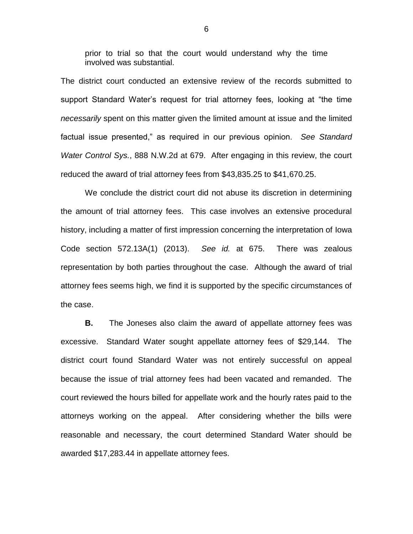prior to trial so that the court would understand why the time involved was substantial.

The district court conducted an extensive review of the records submitted to support Standard Water's request for trial attorney fees, looking at "the time *necessarily* spent on this matter given the limited amount at issue and the limited factual issue presented," as required in our previous opinion. *See Standard Water Control Sys.*, 888 N.W.2d at 679. After engaging in this review, the court reduced the award of trial attorney fees from \$43,835.25 to \$41,670.25.

We conclude the district court did not abuse its discretion in determining the amount of trial attorney fees. This case involves an extensive procedural history, including a matter of first impression concerning the interpretation of Iowa Code section 572.13A(1) (2013). *See id.* at 675. There was zealous representation by both parties throughout the case. Although the award of trial attorney fees seems high, we find it is supported by the specific circumstances of the case.

**B.** The Joneses also claim the award of appellate attorney fees was excessive. Standard Water sought appellate attorney fees of \$29,144. The district court found Standard Water was not entirely successful on appeal because the issue of trial attorney fees had been vacated and remanded. The court reviewed the hours billed for appellate work and the hourly rates paid to the attorneys working on the appeal. After considering whether the bills were reasonable and necessary, the court determined Standard Water should be awarded \$17,283.44 in appellate attorney fees.

6